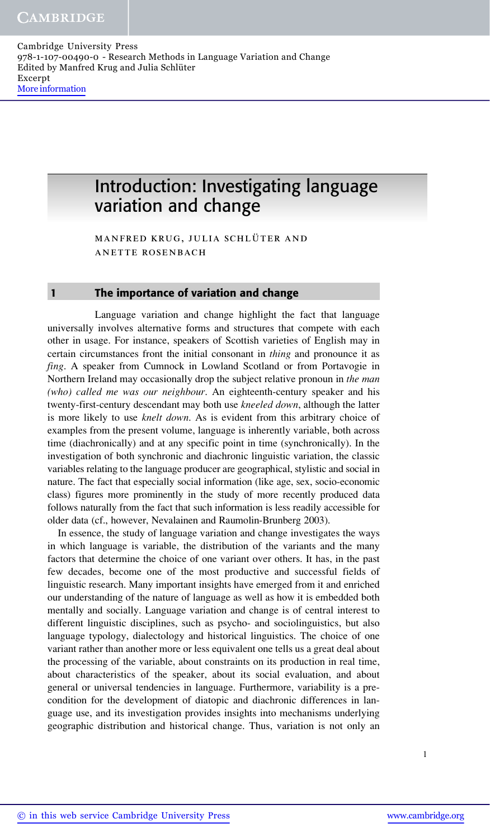# Introduction: Investigating language variation and change

MANFRED KRUG, JULIA SCHLÜTER AND anette rosenbach

# 1 The importance of variation and change

Language variation and change highlight the fact that language universally involves alternative forms and structures that compete with each other in usage. For instance, speakers of Scottish varieties of English may in certain circumstances front the initial consonant in thing and pronounce it as fing. A speaker from Cumnock in Lowland Scotland or from Portavogie in Northern Ireland may occasionally drop the subject relative pronoun in *the man* (who) called me was our neighbour. An eighteenth-century speaker and his twenty-first-century descendant may both use kneeled down, although the latter is more likely to use *knelt down*. As is evident from this arbitrary choice of examples from the present volume, language is inherently variable, both across time (diachronically) and at any specific point in time (synchronically). In the investigation of both synchronic and diachronic linguistic variation, the classic variables relating to the language producer are geographical, stylistic and social in nature. The fact that especially social information (like age, sex, socio-economic class) figures more prominently in the study of more recently produced data follows naturally from the fact that such information is less readily accessible for older data (cf., however, Nevalainen and Raumolin-Brunberg 2003).

In essence, the study of language variation and change investigates the ways in which language is variable, the distribution of the variants and the many factors that determine the choice of one variant over others. It has, in the past few decades, become one of the most productive and successful fields of linguistic research. Many important insights have emerged from it and enriched our understanding of the nature of language as well as how it is embedded both mentally and socially. Language variation and change is of central interest to different linguistic disciplines, such as psycho- and sociolinguistics, but also language typology, dialectology and historical linguistics. The choice of one variant rather than another more or less equivalent one tells us a great deal about the processing of the variable, about constraints on its production in real time, about characteristics of the speaker, about its social evaluation, and about general or universal tendencies in language. Furthermore, variability is a precondition for the development of diatopic and diachronic differences in language use, and its investigation provides insights into mechanisms underlying geographic distribution and historical change. Thus, variation is not only an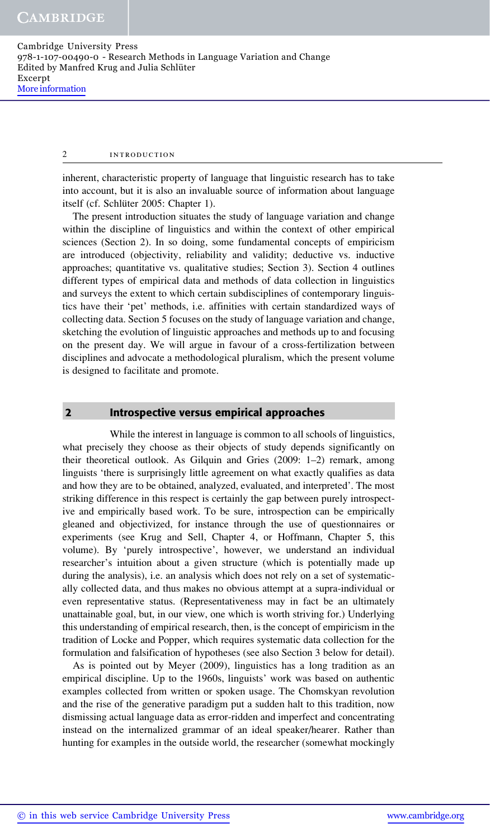inherent, characteristic property of language that linguistic research has to take into account, but it is also an invaluable source of information about language itself (cf. Schlüter 2005: Chapter 1).

The present introduction situates the study of language variation and change within the discipline of linguistics and within the context of other empirical sciences (Section 2). In so doing, some fundamental concepts of empiricism are introduced (objectivity, reliability and validity; deductive vs. inductive approaches; quantitative vs. qualitative studies; Section 3). Section 4 outlines different types of empirical data and methods of data collection in linguistics and surveys the extent to which certain subdisciplines of contemporary linguistics have their 'pet' methods, i.e. affinities with certain standardized ways of collecting data. Section 5 focuses on the study of language variation and change, sketching the evolution of linguistic approaches and methods up to and focusing on the present day. We will argue in favour of a cross-fertilization between disciplines and advocate a methodological pluralism, which the present volume is designed to facilitate and promote.

# 2 Introspective versus empirical approaches

While the interest in language is common to all schools of linguistics, what precisely they choose as their objects of study depends significantly on their theoretical outlook. As Gilquin and Gries (2009: 1–2) remark, among linguists 'there is surprisingly little agreement on what exactly qualifies as data and how they are to be obtained, analyzed, evaluated, and interpreted'. The most striking difference in this respect is certainly the gap between purely introspective and empirically based work. To be sure, introspection can be empirically gleaned and objectivized, for instance through the use of questionnaires or experiments (see Krug and Sell, Chapter 4, or Hoffmann, Chapter 5, this volume). By 'purely introspective', however, we understand an individual researcher's intuition about a given structure (which is potentially made up during the analysis), i.e. an analysis which does not rely on a set of systematically collected data, and thus makes no obvious attempt at a supra-individual or even representative status. (Representativeness may in fact be an ultimately unattainable goal, but, in our view, one which is worth striving for.) Underlying this understanding of empirical research, then, is the concept of empiricism in the tradition of Locke and Popper, which requires systematic data collection for the formulation and falsification of hypotheses (see also Section 3 below for detail).

As is pointed out by Meyer (2009), linguistics has a long tradition as an empirical discipline. Up to the 1960s, linguists' work was based on authentic examples collected from written or spoken usage. The Chomskyan revolution and the rise of the generative paradigm put a sudden halt to this tradition, now dismissing actual language data as error-ridden and imperfect and concentrating instead on the internalized grammar of an ideal speaker/hearer. Rather than hunting for examples in the outside world, the researcher (somewhat mockingly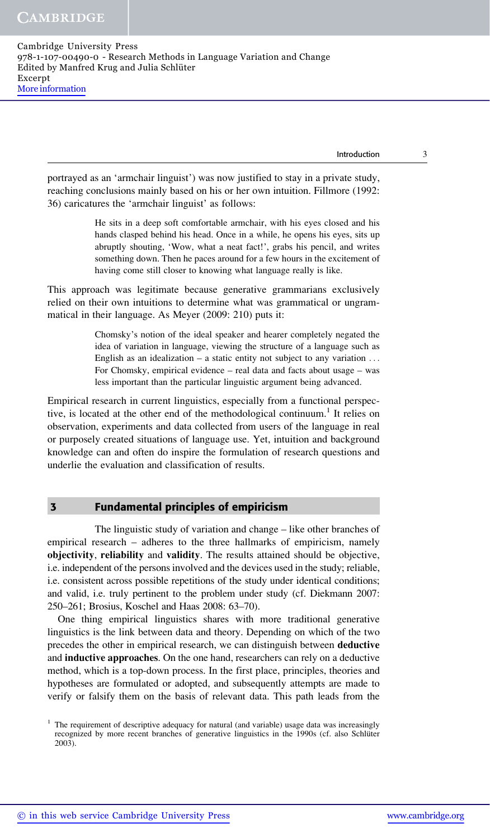portrayed as an 'armchair linguist') was now justified to stay in a private study, reaching conclusions mainly based on his or her own intuition. Fillmore (1992: 36) caricatures the 'armchair linguist' as follows:

> He sits in a deep soft comfortable armchair, with his eyes closed and his hands clasped behind his head. Once in a while, he opens his eyes, sits up abruptly shouting, 'Wow, what a neat fact!', grabs his pencil, and writes something down. Then he paces around for a few hours in the excitement of having come still closer to knowing what language really is like.

This approach was legitimate because generative grammarians exclusively relied on their own intuitions to determine what was grammatical or ungrammatical in their language. As Meyer (2009: 210) puts it:

> Chomsky's notion of the ideal speaker and hearer completely negated the idea of variation in language, viewing the structure of a language such as English as an idealization – a static entity not subject to any variation ... For Chomsky, empirical evidence – real data and facts about usage – was less important than the particular linguistic argument being advanced.

Empirical research in current linguistics, especially from a functional perspective, is located at the other end of the methodological continuum.<sup>1</sup> It relies on observation, experiments and data collected from users of the language in real or purposely created situations of language use. Yet, intuition and background knowledge can and often do inspire the formulation of research questions and underlie the evaluation and classification of results.

# 3 Fundamental principles of empiricism

The linguistic study of variation and change – like other branches of empirical research – adheres to the three hallmarks of empiricism, namely objectivity, reliability and validity. The results attained should be objective, i.e. independent of the persons involved and the devices used in the study; reliable, i.e. consistent across possible repetitions of the study under identical conditions; and valid, i.e. truly pertinent to the problem under study (cf. Diekmann 2007: 250–261; Brosius, Koschel and Haas 2008: 63–70).

One thing empirical linguistics shares with more traditional generative linguistics is the link between data and theory. Depending on which of the two precedes the other in empirical research, we can distinguish between deductive and inductive approaches. On the one hand, researchers can rely on a deductive method, which is a top-down process. In the first place, principles, theories and hypotheses are formulated or adopted, and subsequently attempts are made to verify or falsify them on the basis of relevant data. This path leads from the

 $1$  The requirement of descriptive adequacy for natural (and variable) usage data was increasingly recognized by more recent branches of generative linguistics in the 1990s (cf. also Schlüter 2003).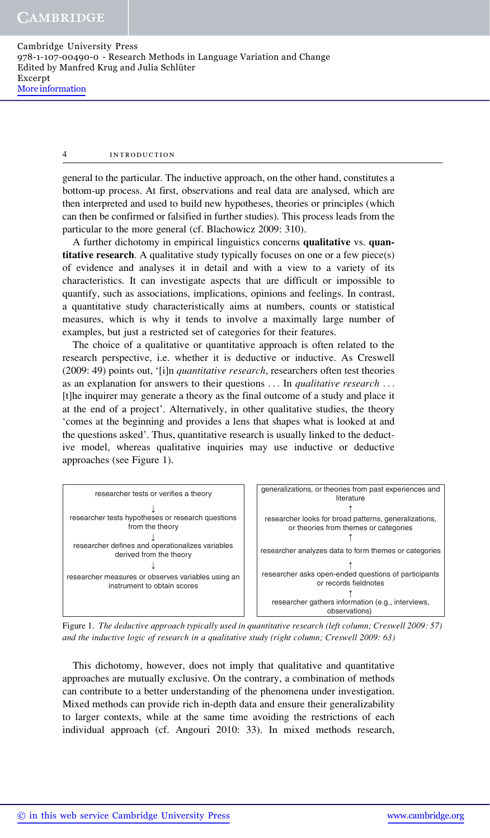general to the particular. The inductive approach, on the other hand, constitutes a bottom-up process. At first, observations and real data are analysed, which are then interpreted and used to build new hypotheses, theories or principles (which can then be confirmed or falsified in further studies). This process leads from the particular to the more general (cf. Blachowicz 2009: 310).

A further dichotomy in empirical linguistics concerns qualitative vs. quantitative research. A qualitative study typically focuses on one or a few piece(s) of evidence and analyses it in detail and with a view to a variety of its characteristics. It can investigate aspects that are difficult or impossible to quantify, such as associations, implications, opinions and feelings. In contrast, a quantitative study characteristically aims at numbers, counts or statistical measures, which is why it tends to involve a maximally large number of examples, but just a restricted set of categories for their features.

The choice of a qualitative or quantitative approach is often related to the research perspective, i.e. whether it is deductive or inductive. As Creswell (2009: 49) points out, '[i]n quantitative research, researchers often test theories as an explanation for answers to their questions ... In qualitative research ... [t]he inquirer may generate a theory as the final outcome of a study and place it at the end of a project'. Alternatively, in other qualitative studies, the theory 'comes at the beginning and provides a lens that shapes what is looked at and the questions asked'. Thus, quantitative research is usually linked to the deductive model, whereas qualitative inquiries may use inductive or deductive approaches (see Figure 1).



Figure 1. The deductive approach typically used in quantitative research (left column; Creswell 2009: 57) and the inductive logic of research in a qualitative study (right column; Creswell 2009: 63)

This dichotomy, however, does not imply that qualitative and quantitative approaches are mutually exclusive. On the contrary, a combination of methods can contribute to a better understanding of the phenomena under investigation. Mixed methods can provide rich in-depth data and ensure their generalizability to larger contexts, while at the same time avoiding the restrictions of each individual approach (cf. Angouri 2010: 33). In mixed methods research,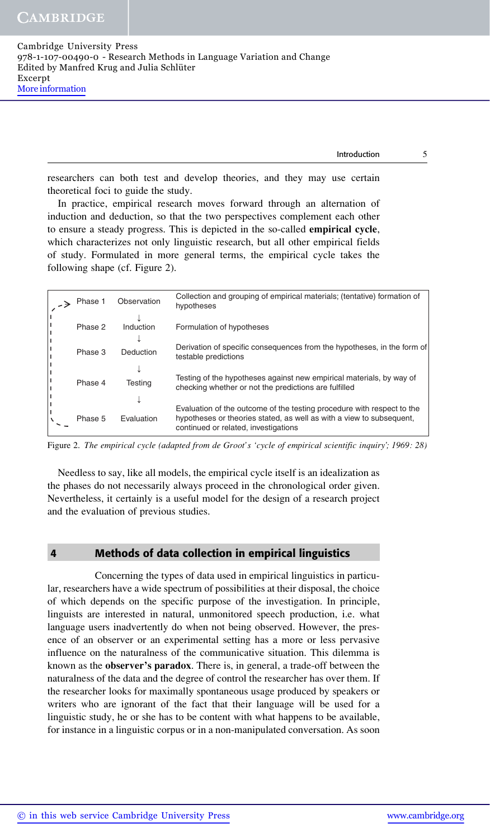researchers can both test and develop theories, and they may use certain theoretical foci to guide the study.

In practice, empirical research moves forward through an alternation of induction and deduction, so that the two perspectives complement each other to ensure a steady progress. This is depicted in the so-called empirical cycle, which characterizes not only linguistic research, but all other empirical fields of study. Formulated in more general terms, the empirical cycle takes the following shape (cf. Figure 2).

| Phase 1 | Observation | Collection and grouping of empirical materials; (tentative) formation of<br>hypotheses                                                                                                 |
|---------|-------------|----------------------------------------------------------------------------------------------------------------------------------------------------------------------------------------|
|         |             |                                                                                                                                                                                        |
| Phase 2 | Induction   | Formulation of hypotheses                                                                                                                                                              |
|         |             |                                                                                                                                                                                        |
| Phase 3 | Deduction   | Derivation of specific consequences from the hypotheses, in the form of<br>testable predictions                                                                                        |
|         |             |                                                                                                                                                                                        |
| Phase 4 | Testing     | Testing of the hypotheses against new empirical materials, by way of<br>checking whether or not the predictions are fulfilled                                                          |
|         |             |                                                                                                                                                                                        |
| Phase 5 | Evaluation  | Evaluation of the outcome of the testing procedure with respect to the<br>hypotheses or theories stated, as well as with a view to subsequent,<br>continued or related, investigations |

Figure 2. The empirical cycle (adapted from de Groot's 'cycle of empirical scientific inquiry'; 1969: 28)

Needless to say, like all models, the empirical cycle itself is an idealization as the phases do not necessarily always proceed in the chronological order given. Nevertheless, it certainly is a useful model for the design of a research project and the evaluation of previous studies.

# 4 Methods of data collection in empirical linguistics

Concerning the types of data used in empirical linguistics in particular, researchers have a wide spectrum of possibilities at their disposal, the choice of which depends on the specific purpose of the investigation. In principle, linguists are interested in natural, unmonitored speech production, i.e. what language users inadvertently do when not being observed. However, the presence of an observer or an experimental setting has a more or less pervasive influence on the naturalness of the communicative situation. This dilemma is known as the **observer's paradox**. There is, in general, a trade-off between the naturalness of the data and the degree of control the researcher has over them. If the researcher looks for maximally spontaneous usage produced by speakers or writers who are ignorant of the fact that their language will be used for a linguistic study, he or she has to be content with what happens to be available, for instance in a linguistic corpus or in a non-manipulated conversation. As soon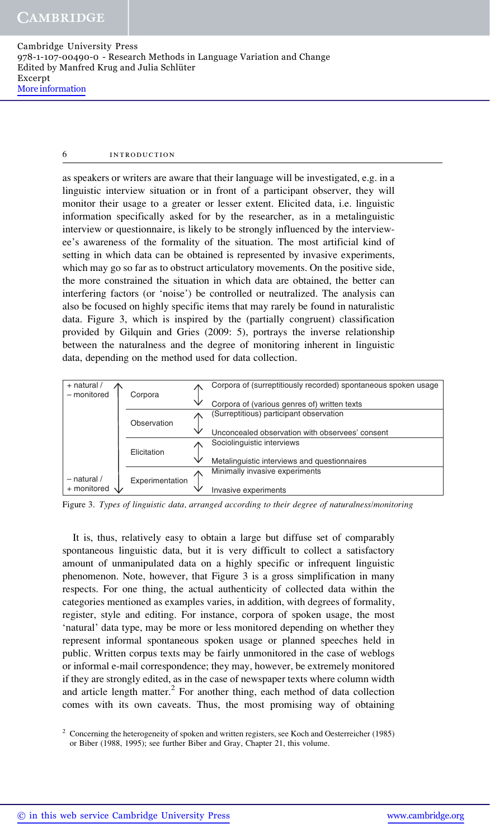as speakers or writers are aware that their language will be investigated, e.g. in a linguistic interview situation or in front of a participant observer, they will monitor their usage to a greater or lesser extent. Elicited data, i.e. linguistic information specifically asked for by the researcher, as in a metalinguistic interview or questionnaire, is likely to be strongly influenced by the interviewee's awareness of the formality of the situation. The most artificial kind of setting in which data can be obtained is represented by invasive experiments, which may go so far as to obstruct articulatory movements. On the positive side, the more constrained the situation in which data are obtained, the better can interfering factors (or 'noise') be controlled or neutralized. The analysis can also be focused on highly specific items that may rarely be found in naturalistic data. Figure 3, which is inspired by the (partially congruent) classification provided by Gilquin and Gries (2009: 5), portrays the inverse relationship between the naturalness and the degree of monitoring inherent in linguistic data, depending on the method used for data collection.

| $+$ natural $/$<br>- monitored | Corpora         |   | Corpora of (surreptitiously recorded) spontaneous spoken usage |
|--------------------------------|-----------------|---|----------------------------------------------------------------|
|                                |                 | ∨ | Corpora of (various genres of) written texts                   |
|                                |                 | ↗ | (Surreptitious) participant observation                        |
|                                | Observation     | ∨ | Unconcealed observation with observees' consent                |
|                                | Elicitation     | ↗ | Sociolinguistic interviews                                     |
|                                |                 | ∨ | Metalinguistic interviews and questionnaires                   |
| $-$ natural $/$                | Experimentation | ↗ | Minimally invasive experiments                                 |
| + monitored                    |                 | ↘ | Invasive experiments                                           |

Figure 3. Types of linguistic data, arranged according to their degree of naturalness/monitoring

It is, thus, relatively easy to obtain a large but diffuse set of comparably spontaneous linguistic data, but it is very difficult to collect a satisfactory amount of unmanipulated data on a highly specific or infrequent linguistic phenomenon. Note, however, that Figure 3 is a gross simplification in many respects. For one thing, the actual authenticity of collected data within the categories mentioned as examples varies, in addition, with degrees of formality, register, style and editing. For instance, corpora of spoken usage, the most 'natural' data type, may be more or less monitored depending on whether they represent informal spontaneous spoken usage or planned speeches held in public. Written corpus texts may be fairly unmonitored in the case of weblogs or informal e-mail correspondence; they may, however, be extremely monitored if they are strongly edited, as in the case of newspaper texts where column width and article length matter. $<sup>2</sup>$  For another thing, each method of data collection</sup> comes with its own caveats. Thus, the most promising way of obtaining

<sup>&</sup>lt;sup>2</sup> Concerning the heterogeneity of spoken and written registers, see Koch and Oesterreicher (1985) or Biber (1988, 1995); see further Biber and Gray, Chapter 21, this volume.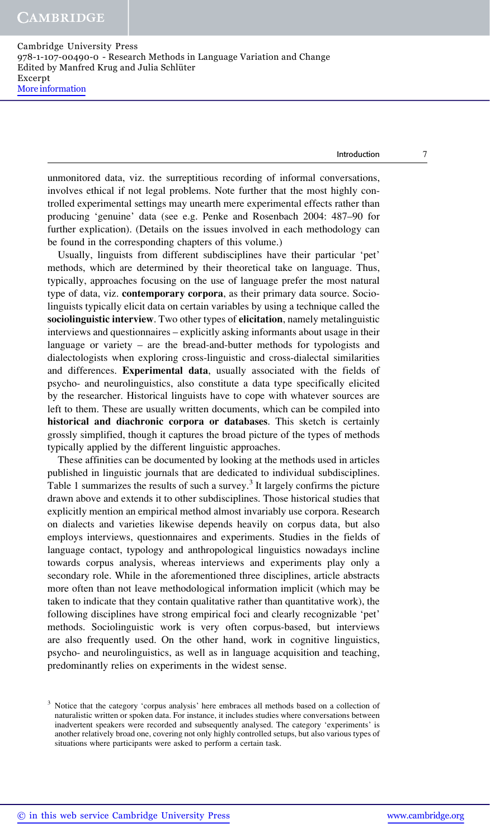unmonitored data, viz. the surreptitious recording of informal conversations, involves ethical if not legal problems. Note further that the most highly controlled experimental settings may unearth mere experimental effects rather than producing 'genuine' data (see e.g. Penke and Rosenbach 2004: 487–90 for further explication). (Details on the issues involved in each methodology can be found in the corresponding chapters of this volume.)

Usually, linguists from different subdisciplines have their particular 'pet' methods, which are determined by their theoretical take on language. Thus, typically, approaches focusing on the use of language prefer the most natural type of data, viz. contemporary corpora, as their primary data source. Sociolinguists typically elicit data on certain variables by using a technique called the sociolinguistic interview. Two other types of elicitation, namely metalinguistic interviews and questionnaires – explicitly asking informants about usage in their language or variety – are the bread-and-butter methods for typologists and dialectologists when exploring cross-linguistic and cross-dialectal similarities and differences. Experimental data, usually associated with the fields of psycho- and neurolinguistics, also constitute a data type specifically elicited by the researcher. Historical linguists have to cope with whatever sources are left to them. These are usually written documents, which can be compiled into historical and diachronic corpora or databases. This sketch is certainly grossly simplified, though it captures the broad picture of the types of methods typically applied by the different linguistic approaches.

These affinities can be documented by looking at the methods used in articles published in linguistic journals that are dedicated to individual subdisciplines. Table 1 summarizes the results of such a survey.<sup>3</sup> It largely confirms the picture drawn above and extends it to other subdisciplines. Those historical studies that explicitly mention an empirical method almost invariably use corpora. Research on dialects and varieties likewise depends heavily on corpus data, but also employs interviews, questionnaires and experiments. Studies in the fields of language contact, typology and anthropological linguistics nowadays incline towards corpus analysis, whereas interviews and experiments play only a secondary role. While in the aforementioned three disciplines, article abstracts more often than not leave methodological information implicit (which may be taken to indicate that they contain qualitative rather than quantitative work), the following disciplines have strong empirical foci and clearly recognizable 'pet' methods. Sociolinguistic work is very often corpus-based, but interviews are also frequently used. On the other hand, work in cognitive linguistics, psycho- and neurolinguistics, as well as in language acquisition and teaching, predominantly relies on experiments in the widest sense.

<sup>&</sup>lt;sup>3</sup> Notice that the category 'corpus analysis' here embraces all methods based on a collection of naturalistic written or spoken data. For instance, it includes studies where conversations between inadvertent speakers were recorded and subsequently analysed. The category 'experiments' is another relatively broad one, covering not only highly controlled setups, but also various types of situations where participants were asked to perform a certain task.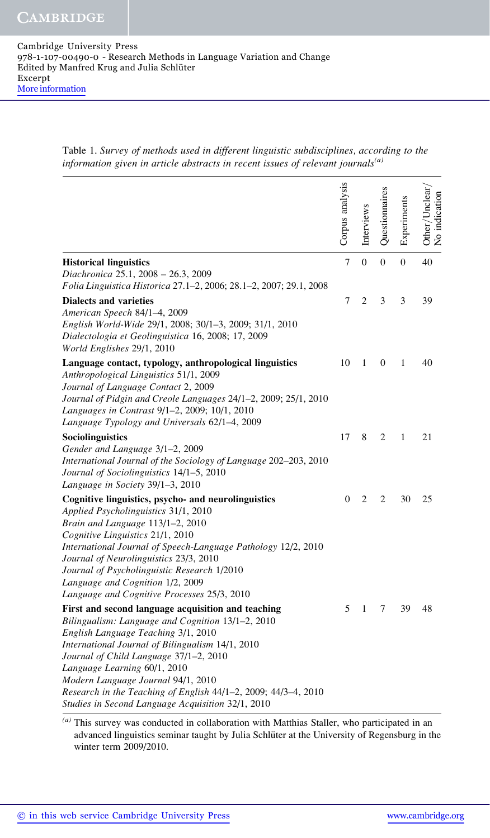| Table 1. Survey of methods used in different linguistic subdisciplines, according to the    |  |
|---------------------------------------------------------------------------------------------|--|
| information given in article abstracts in recent issues of relevant journals <sup>(a)</sup> |  |

|                                                                                                                                                                                                                                                                                                                                                                                                                                           | Corpus analysis | Interviews       | Questionnaires   | Experiments  | Other/Unclear<br>No indication |
|-------------------------------------------------------------------------------------------------------------------------------------------------------------------------------------------------------------------------------------------------------------------------------------------------------------------------------------------------------------------------------------------------------------------------------------------|-----------------|------------------|------------------|--------------|--------------------------------|
| <b>Historical linguistics</b><br>Diachronica 25.1, 2008 - 26.3, 2009<br>Folia Linguistica Historica 27.1–2, 2006; 28.1–2, 2007; 29.1, 2008                                                                                                                                                                                                                                                                                                | 7               | $\boldsymbol{0}$ | $\boldsymbol{0}$ | $\mathbf{0}$ | 40                             |
| <b>Dialects and varieties</b><br>American Speech 84/1-4, 2009<br>English World-Wide 29/1, 2008; 30/1-3, 2009; 31/1, 2010<br>Dialectologia et Geolinguistica 16, 2008; 17, 2009<br>World Englishes 29/1, 2010                                                                                                                                                                                                                              | 7               | $\overline{2}$   | 3                | 3            | 39                             |
| Language contact, typology, anthropological linguistics<br>Anthropological Linguistics 51/1, 2009<br>Journal of Language Contact 2, 2009<br>Journal of Pidgin and Creole Languages 24/1-2, 2009; 25/1, 2010<br>Languages in Contrast 9/1-2, 2009; 10/1, 2010<br>Language Typology and Universals 62/1-4, 2009                                                                                                                             | 10              | 1                | 0                | 1            | 40                             |
| Sociolinguistics<br>Gender and Language 3/1-2, 2009<br>International Journal of the Sociology of Language 202-203, 2010<br>Journal of Sociolinguistics 14/1-5, 2010<br>Language in Society 39/1-3, 2010                                                                                                                                                                                                                                   | 17              | 8                | $\overline{c}$   | 1            | 21                             |
| Cognitive linguistics, psycho- and neurolinguistics<br>Applied Psycholinguistics 31/1, 2010<br>Brain and Language 113/1-2, 2010<br>Cognitive Linguistics 21/1, 2010<br>International Journal of Speech-Language Pathology 12/2, 2010<br>Journal of Neurolinguistics 23/3, 2010<br>Journal of Psycholinguistic Research 1/2010<br>Language and Cognition 1/2, 2009<br>Language and Cognitive Processes 25/3, 2010                          | $\mathbf{0}$    | $\overline{2}$   | $\overline{2}$   | 30           | 25                             |
| First and second language acquisition and teaching<br>Bilingualism: Language and Cognition 13/1-2, 2010<br>English Language Teaching 3/1, 2010<br>International Journal of Bilingualism 14/1, 2010<br>Journal of Child Language 37/1-2, 2010<br>Language Learning 60/1, 2010<br>Modern Language Journal 94/1, 2010<br>Research in the Teaching of English 44/1-2, 2009; 44/3-4, 2010<br>Studies in Second Language Acquisition 32/1, 2010 | 5               | 1                | 7                | 39           | 48                             |

 $\alpha$ ) This survey was conducted in collaboration with Matthias Staller, who participated in an advanced linguistics seminar taught by Julia Schlüter at the University of Regensburg in the winter term 2009/2010.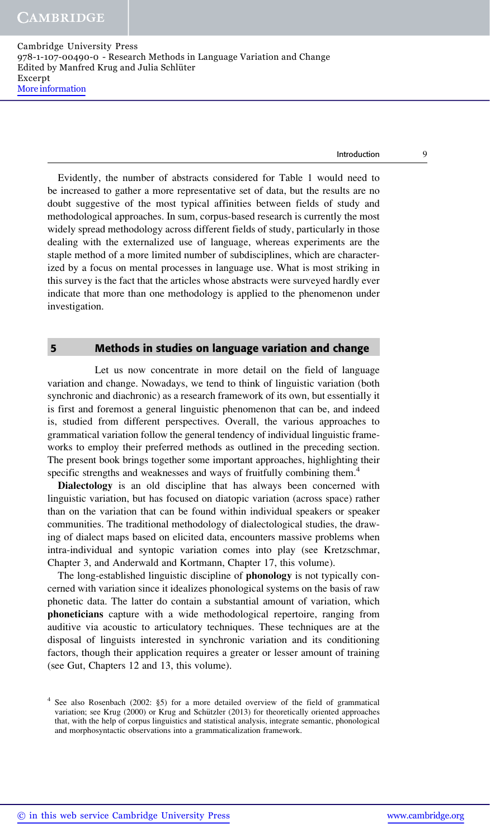Evidently, the number of abstracts considered for Table 1 would need to be increased to gather a more representative set of data, but the results are no doubt suggestive of the most typical affinities between fields of study and methodological approaches. In sum, corpus-based research is currently the most widely spread methodology across different fields of study, particularly in those dealing with the externalized use of language, whereas experiments are the staple method of a more limited number of subdisciplines, which are characterized by a focus on mental processes in language use. What is most striking in this survey is the fact that the articles whose abstracts were surveyed hardly ever indicate that more than one methodology is applied to the phenomenon under investigation.

### 5 Methods in studies on language variation and change

Let us now concentrate in more detail on the field of language variation and change. Nowadays, we tend to think of linguistic variation (both synchronic and diachronic) as a research framework of its own, but essentially it is first and foremost a general linguistic phenomenon that can be, and indeed is, studied from different perspectives. Overall, the various approaches to grammatical variation follow the general tendency of individual linguistic frameworks to employ their preferred methods as outlined in the preceding section. The present book brings together some important approaches, highlighting their specific strengths and weaknesses and ways of fruitfully combining them.<sup>4</sup>

Dialectology is an old discipline that has always been concerned with linguistic variation, but has focused on diatopic variation (across space) rather than on the variation that can be found within individual speakers or speaker communities. The traditional methodology of dialectological studies, the drawing of dialect maps based on elicited data, encounters massive problems when intra-individual and syntopic variation comes into play (see Kretzschmar, Chapter 3, and Anderwald and Kortmann, Chapter 17, this volume).

The long-established linguistic discipline of phonology is not typically concerned with variation since it idealizes phonological systems on the basis of raw phonetic data. The latter do contain a substantial amount of variation, which phoneticians capture with a wide methodological repertoire, ranging from auditive via acoustic to articulatory techniques. These techniques are at the disposal of linguists interested in synchronic variation and its conditioning factors, though their application requires a greater or lesser amount of training (see Gut, Chapters 12 and 13, this volume).

<sup>&</sup>lt;sup>4</sup> See also Rosenbach (2002: §5) for a more detailed overview of the field of grammatical variation; see Krug (2000) or Krug and Schützler (2013) for theoretically oriented approaches that, with the help of corpus linguistics and statistical analysis, integrate semantic, phonological and morphosyntactic observations into a grammaticalization framework.